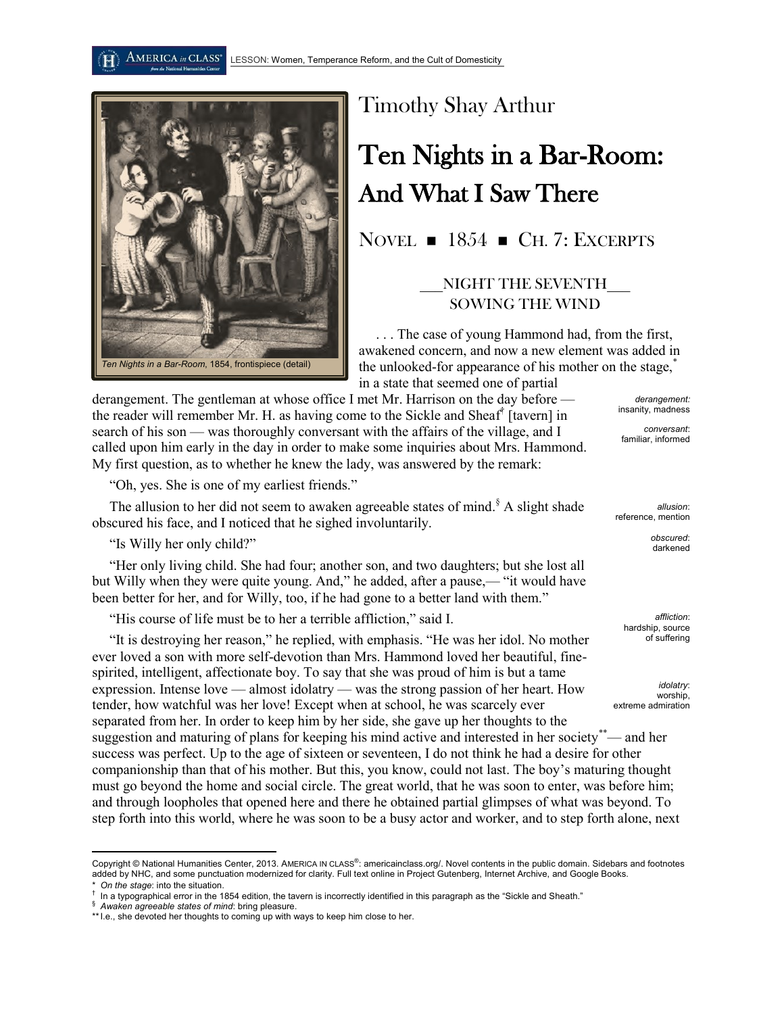

## Timothy Shay Arthur

## Ten Nights in a Bar-Room: And What I Saw There

NOVEL  $\blacksquare$  1854  $\blacksquare$  CH. 7: EXCERPTS

## \_\_\_NIGHT THE SEVENTH\_\_\_ SOWING THE WIND

. . . The case of young Hammond had, from the first, awakened concern, and now a new element was added in the unlooked-for appearance of his mother on the stage, in a state that seemed one of partial

derangement. The gentleman at whose office I met Mr. Harrison on the day before the reader will remember Mr. H. as having come to the Sickle and Sheaf† [tavern] in search of his son — was thoroughly conversant with the affairs of the village, and I called upon him early in the day in order to make some inquiries about Mrs. Hammond. My first question, as to whether he knew the lady, was answered by the remark:

"Oh, yes. She is one of my earliest friends."

The allusion to her did not seem to awaken agreeable states of mind.<sup>§</sup> A slight shade obscured his face, and I noticed that he sighed involuntarily.

"Is Willy her only child?"

"Her only living child. She had four; another son, and two daughters; but she lost all but Willy when they were quite young. And," he added, after a pause,— "it would have been better for her, and for Willy, too, if he had gone to a better land with them."

"His course of life must be to her a terrible affliction," said I.

"It is destroying her reason," he replied, with emphasis. "He was her idol. No mother ever loved a son with more self-devotion than Mrs. Hammond loved her beautiful, finespirited, intelligent, affectionate boy. To say that she was proud of him is but a tame expression. Intense love — almost idolatry — was the strong passion of her heart. How tender, how watchful was her love! Except when at school, he was scarcely ever separated from her. In order to keep him by her side, she gave up her thoughts to the suggestion and maturing of plans for keeping his mind active and interested in her society<sup>\*\*</sup>— and her success was perfect. Up to the age of sixteen or seventeen, I do not think he had a desire for other companionship than that of his mother. But this, you know, could not last. The boy's maturing thought must go beyond the home and social circle. The great world, that he was soon to enter, was before him; and through loopholes that opened here and there he obtained partial glimpses of what was beyond. To step forth into this world, where he was soon to be a busy actor and worker, and to step forth alone, next extreme admiration

 $\overline{\phantom{a}}$ 

*derangement:*  insanity, madness

*conversant*: familiar, informed

*allusion*: reference, mention

> *obscured*: darkened

*affliction*: hardship, source of suffering

*idolatry*: worship,

 $\Lambda$ MERICA in CLASS®

Copyright © National Humanities Center, 2013. AMERICA IN CLASS®: americainclass.org/. Novel contents in the public domain. Sidebars and footnotes added by NHC, and some punctuation modernized for clarity. Full text online in Project Gutenberg, Internet Archive, and Google Books. On the stage: into the situation.

<sup>†</sup> In a typographical error in the 1854 edition, the tavern is incorrectly identified in this paragraph as the "Sickle and Sheath."

<sup>§</sup> *Awaken agreeable states of mind*: bring pleasure.

<sup>\*\*</sup> I.e., she devoted her thoughts to coming up with ways to keep him close to her.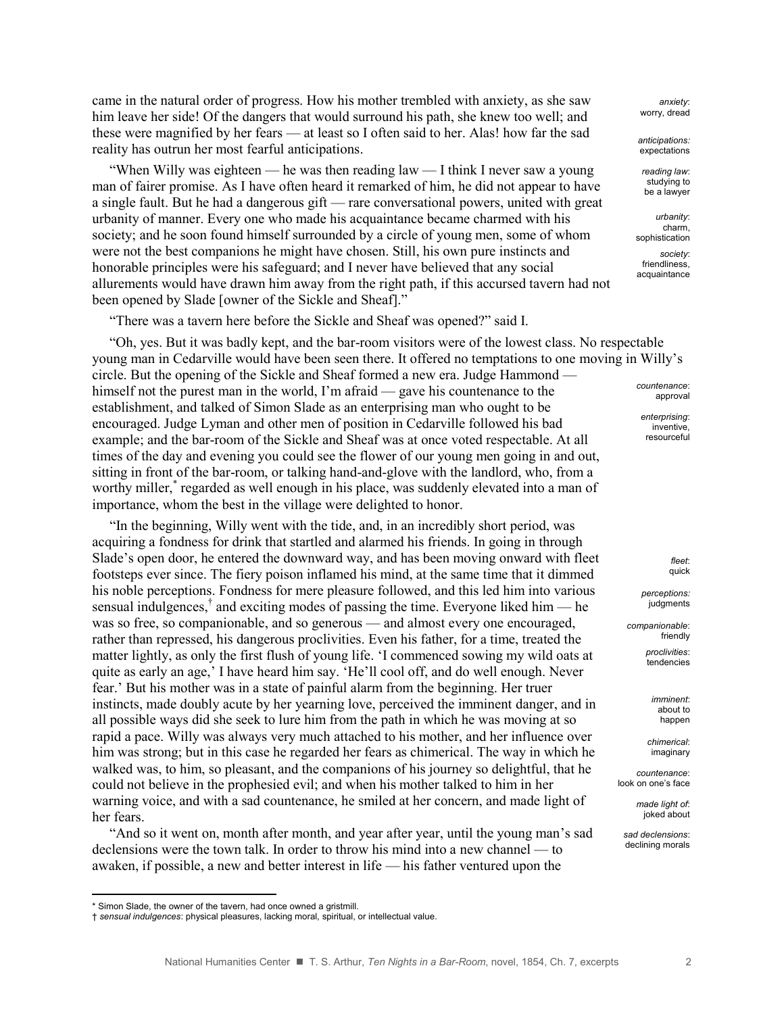came in the natural order of progress. How his mother trembled with anxiety, as she saw him leave her side! Of the dangers that would surround his path, she knew too well; and these were magnified by her fears — at least so I often said to her. Alas! how far the sad reality has outrun her most fearful anticipations.

"When Willy was eighteen — he was then reading law — I think I never saw a young man of fairer promise. As I have often heard it remarked of him, he did not appear to have a single fault. But he had a dangerous gift — rare conversational powers, united with great urbanity of manner. Every one who made his acquaintance became charmed with his society; and he soon found himself surrounded by a circle of young men, some of whom were not the best companions he might have chosen. Still, his own pure instincts and honorable principles were his safeguard; and I never have believed that any social allurements would have drawn him away from the right path, if this accursed tavern had not been opened by Slade [owner of the Sickle and Sheaf]."

"There was a tavern here before the Sickle and Sheaf was opened?" said I.

"Oh, yes. But it was badly kept, and the bar-room visitors were of the lowest class. No respectable young man in Cedarville would have been seen there. It offered no temptations to one moving in Willy's circle. But the opening of the Sickle and Sheaf formed a new era. Judge Hammond himself not the purest man in the world, I'm afraid — gave his countenance to the establishment, and talked of Simon Slade as an enterprising man who ought to be encouraged. Judge Lyman and other men of position in Cedarville followed his bad example; and the bar-room of the Sickle and Sheaf was at once voted respectable. At all times of the day and evening you could see the flower of our young men going in and out, sitting in front of the bar-room, or talking hand-and-glove with the landlord, who, from a worthy miller,<sup>\*</sup> regarded as well enough in his place, was suddenly elevated into a man of importance, whom the best in the village were delighted to honor.

"In the beginning, Willy went with the tide, and, in an incredibly short period, was acquiring a fondness for drink that startled and alarmed his friends. In going in through Slade's open door, he entered the downward way, and has been moving onward with fleet footsteps ever since. The fiery poison inflamed his mind, at the same time that it dimmed his noble perceptions. Fondness for mere pleasure followed, and this led him into various sensual indulgences,<sup>†</sup> and exciting modes of passing the time. Everyone liked him — he was so free, so companionable, and so generous — and almost every one encouraged, rather than repressed, his dangerous proclivities. Even his father, for a time, treated the matter lightly, as only the first flush of young life. 'I commenced sowing my wild oats at quite as early an age,' I have heard him say. 'He'll cool off, and do well enough. Never fear.' But his mother was in a state of painful alarm from the beginning. Her truer instincts, made doubly acute by her yearning love, perceived the imminent danger, and in all possible ways did she seek to lure him from the path in which he was moving at so rapid a pace. Willy was always very much attached to his mother, and her influence over him was strong; but in this case he regarded her fears as chimerical. The way in which he walked was, to him, so pleasant, and the companions of his journey so delightful, that he could not believe in the prophesied evil; and when his mother talked to him in her warning voice, and with a sad countenance, he smiled at her concern, and made light of her fears.

"And so it went on, month after month, and year after year, until the young man's sad declensions were the town talk. In order to throw his mind into a new channel — to awaken, if possible, a new and better interest in life — his father ventured upon the

l

*anxiety*: worry, dread

*anticipations:*  expectations

*reading law*: studying to be a lawyer

*urbanity*: charm, sophistication

*society*: friendliness, acquaintance

*countenance*: approval

*enterprising*: inventive, resourceful

> *fleet*: quick

*perceptions:*  judgments

*companionable*: friendly *proclivities*:

tendencies

*imminent*: about to happen

*chimerical*: imaginary

*countenance*: look on one's face

> *made light of*: joked about

*sad declensions*: declining morals

<sup>\*</sup> Simon Slade, the owner of the tavern, had once owned a gristmill.

<sup>†</sup> *sensual indulgences*: physical pleasures, lacking moral, spiritual, or intellectual value.